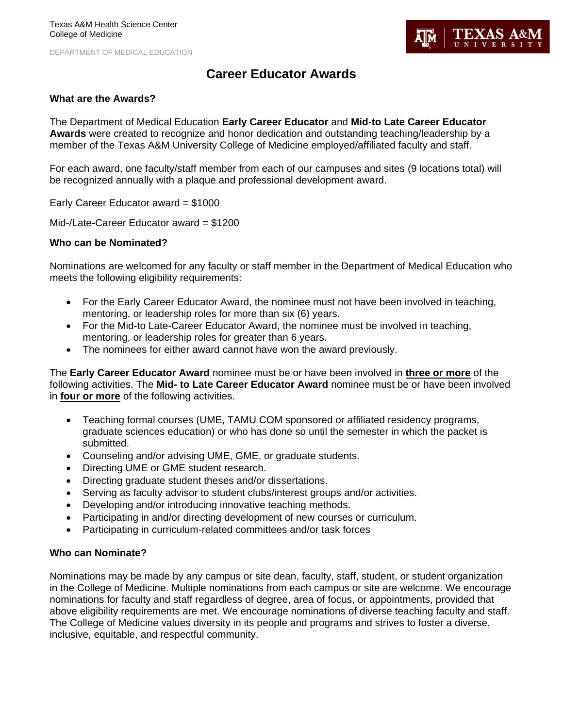DEPARTMENT OF MEDICAL EDUCATION



# **Career Educator Awards**

## **What are the Awards?**

The Department of Medical Education **Early Career Educator** and **Mid-to Late Career Educator Awards** were created to recognize and honor dedication and outstanding teaching/leadership by a member of the Texas A&M University College of Medicine employed/affiliated faculty and staff.

For each award, one faculty/staff member from each of our campuses and sites (9 locations total) will be recognized annually with a plaque and professional development award.

Early Career Educator award = \$1000

Mid-/Late-Career Educator award = \$1200

#### **Who can be Nominated?**

Nominations are welcomed for any faculty or staff member in the Department of Medical Education who meets the following eligibility requirements:

- For the Early Career Educator Award, the nominee must not have been involved in teaching, mentoring, or leadership roles for more than six (6) years.
- For the Mid-to Late-Career Educator Award, the nominee must be involved in teaching, mentoring, or leadership roles for greater than 6 years.
- The nominees for either award cannot have won the award previously.

The **Early Career Educator Award** nominee must be or have been involved in **three or more** of the following activities. The **Mid- to Late Career Educator Award** nominee must be or have been involved in **four or more** of the following activities.

- Teaching formal courses (UME, TAMU COM sponsored or affiliated residency programs, graduate sciences education) or who has done so until the semester in which the packet is submitted.
- Counseling and/or advising UME, GME, or graduate students.
- Directing UME or GME student research.
- Directing graduate student theses and/or dissertations.
- Serving as faculty advisor to student clubs/interest groups and/or activities.
- Developing and/or introducing innovative teaching methods.
- Participating in and/or directing development of new courses or curriculum.
- Participating in curriculum-related committees and/or task forces

## **Who can Nominate?**

Nominations may be made by any campus or site dean, faculty, staff, student, or student organization in the College of Medicine. Multiple nominations from each campus or site are welcome. We encourage nominations for faculty and staff regardless of degree, area of focus, or appointments, provided that above eligibility requirements are met. We encourage nominations of diverse teaching faculty and staff. The College of Medicine values diversity in its people and programs and strives to foster a diverse, inclusive, equitable, and respectful community.